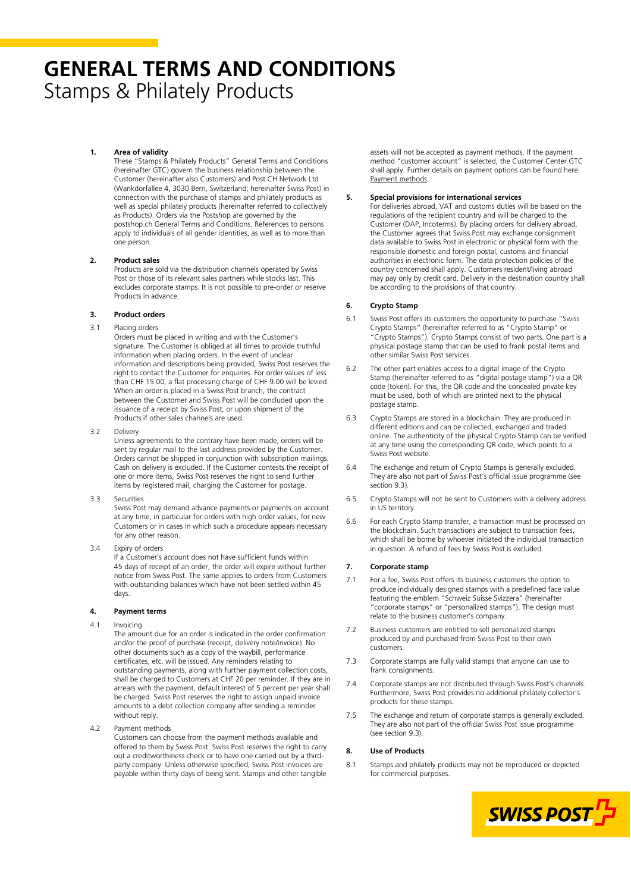# **GENERAL TERMS AND CONDITIONS** Stamps & Philately Products

# **1. Area of validity**

These "Stamps & Philately Products" General Terms and Conditions (hereinafter GTC) govern the business relationship between the Customer (hereinafter also Customers) and Post CH Network Ltd (Wankdorfallee 4, 3030 Bern, Switzerland; hereinafter Swiss Post) in connection with the purchase of stamps and philately products as well as special philately products (hereinafter referred to collectively as Products). Orders via the Postshop are governed by the postshop.ch General Terms and Conditions. References to persons apply to individuals of all gender identities, as well as to more than one person.

#### **2. Product sales**

Products are sold via the distribution channels operated by Swiss Post or those of its relevant sales partners while stocks last. This excludes corporate stamps. It is not possible to pre-order or reserve Products in advance.

#### **3. Product orders**

#### 3.1 Placing orders

Orders must be placed in writing and with the Customer's signature. The Customer is obliged at all times to provide truthful information when placing orders. In the event of unclear information and descriptions being provided, Swiss Post reserves the right to contact the Customer for enquiries. For order values of less than CHF 15.00, a flat processing charge of CHF 9.00 will be levied. When an order is placed in a Swiss Post branch, the contract between the Customer and Swiss Post will be concluded upon the issuance of a receipt by Swiss Post, or upon shipment of the Products if other sales channels are used.

3.2 Delivery

Unless agreements to the contrary have been made, orders will be sent by regular mail to the last address provided by the Customer. Orders cannot be shipped in conjunction with subscription mailings. Cash on delivery is excluded. If the Customer contests the receipt of one or more items, Swiss Post reserves the right to send further items by registered mail, charging the Customer for postage.

3.3 Securities

Swiss Post may demand advance payments or payments on account at any time, in particular for orders with high order values, for new Customers or in cases in which such a procedure appears necessary for any other reason.

3.4 Expiry of orders If a Customer's account does not have sufficient funds within

45 days of receipt of an order, the order will expire without further notice from Swiss Post. The same applies to orders from Customers with outstanding balances which have not been settled within 45 days

# **4. Payment terms**

4.1 Invoicing

The amount due for an order is indicated in the order confirmation and/or the proof of purchase (receipt, delivery note/invoice). No other documents such as a copy of the waybill, performance certificates, etc. will be issued. Any reminders relating to outstanding payments, along with further payment collection costs, shall be charged to Customers at CHF 20 per reminder. If they are in arrears with the payment, default interest of 5 percent per year shall be charged. Swiss Post reserves the right to assign unpaid invoice amounts to a debt collection company after sending a reminder without reply.

4.2 Payment methods

Customers can choose from the payment methods available and offered to them by Swiss Post. Swiss Post reserves the right to carry out a creditworthiness check or to have one carried out by a thirdparty company. Unless otherwise specified, Swiss Post invoices are payable within thirty days of being sent. Stamps and other tangible

assets will not be accepted as payment methods. If the payment method "customer account" is selected, the Customer Center GTC shall apply. Further details on payment options can be found here: [Payment methods.](https://www.swisspost.ch/-/media/post/agb/factsheet-zahlungsmoeglichkeiten.pdf?la=en)

## **5. Special provisions for international services**

For deliveries abroad, VAT and customs duties will be based on the regulations of the recipient country and will be charged to the Customer (DAP, Incoterms). By placing orders for delivery abroad, the Customer agrees that Swiss Post may exchange consignment data available to Swiss Post in electronic or physical form with the responsible domestic and foreign postal, customs and financial authorities in electronic form. The data protection policies of the country concerned shall apply. Customers resident/living abroad may pay only by credit card. Delivery in the destination country shall be according to the provisions of that country.

# **6. Crypto Stamp**

- 6.1 Swiss Post offers its customers the opportunity to purchase "Swiss Crypto Stamps" (hereinafter referred to as "Crypto Stamp" or "Crypto Stamps"). Crypto Stamps consist of two parts. One part is a physical postage stamp that can be used to frank postal items and other similar Swiss Post services.
- 6.2 The other part enables access to a digital image of the Crypto Stamp (hereinafter referred to as "digital postage stamp") via a QR code (token). For this, the QR code and the concealed private key must be used, both of which are printed next to the physical postage stamp.
- 6.3 Crypto Stamps are stored in a blockchain. They are produced in different editions and can be collected, exchanged and traded online. The authenticity of the physical Crypto Stamp can be verified at any time using the corresponding QR code, which points to a Swiss Post website.
- 6.4 The exchange and return of Crypto Stamps is generally excluded. They are also not part of Swiss Post's official issue programme (see section 9.3).
- 6.5 Crypto Stamps will not be sent to Customers with a delivery address in US territory.
- 6.6 For each Crypto Stamp transfer, a transaction must be processed on the blockchain. Such transactions are subject to transaction fees, which shall be borne by whoever initiated the individual transaction in question. A refund of fees by Swiss Post is excluded.

## **7. Corporate stamp**

- 7.1 For a fee, Swiss Post offers its business customers the option to produce individually designed stamps with a predefined face value featuring the emblem "Schweiz Suisse Svizzera" (hereinafter "corporate stamps" or "personalized stamps"). The design must relate to the business customer's company.
- 7.2 Business customers are entitled to sell personalized stamps produced by and purchased from Swiss Post to their own customers.
- 7.3 Corporate stamps are fully valid stamps that anyone can use to frank consignments.
- 7.4 Corporate stamps are not distributed through Swiss Post's channels. Furthermore, Swiss Post provides no additional philately collector's products for these stamps.
- 7.5 The exchange and return of corporate stamps is generally excluded. They are also not part of the official Swiss Post issue programme (see section 9.3).

#### **8. Use of Products**

8.1 Stamps and philately products may not be reproduced or depicted for commercial purposes.

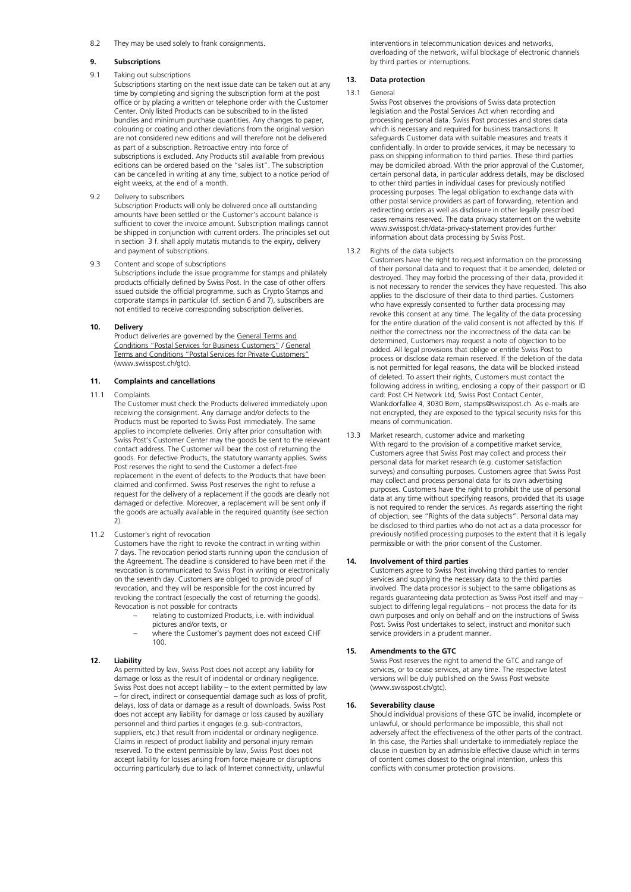#### 8.2 They may be used solely to frank consignments.

## **9. Subscriptions**

# 9.1 Taking out subscriptions

Subscriptions starting on the next issue date can be taken out at any time by completing and signing the subscription form at the post office or by placing a written or telephone order with the Customer Center. Only listed Products can be subscribed to in the listed bundles and minimum purchase quantities. Any changes to paper, colouring or coating and other deviations from the original version are not considered new editions and will therefore not be delivered as part of a subscription. Retroactive entry into force of subscriptions is excluded. Any Products still available from previous editions can be ordered based on the "sales list". The subscription can be cancelled in writing at any time, subject to a notice period of eight weeks, at the end of a month.

9.2 Delivery to subscribers

Subscription Products will only be delivered once all outstanding amounts have been settled or the Customer's account balance is sufficient to cover the invoice amount. Subscription mailings cannot be shipped in conjunction with current orders. The principles set out in section 3 f. shall apply mutatis mutandis to the expiry, delivery and payment of subscriptions.

9.3 Content and scope of subscriptions

Subscriptions include the issue programme for stamps and philately products officially defined by Swiss Post. In the case of other offers issued outside the official programme, such as Crypto Stamps and corporate stamps in particular (cf. section 6 and 7), subscribers are not entitled to receive corresponding subscription deliveries.

## **10. Delivery**

Product deliveries are governed by th[e General Terms and](https://www.swisspost.ch/-/media/post/agb/agb-postdienstleistungen-gk.pdf?la=en)  [Conditions "Postal Services for Business Customers"](https://www.swisspost.ch/-/media/post/agb/agb-postdienstleistungen-gk.pdf?la=en) [/ General](https://www.swisspost.ch/-/media/post/agb/agb-postdienstleistungen-gk.pdf?la=en)  [Terms and Conditions "Postal Services for Private Customers"](https://www.swisspost.ch/-/media/post/agb/agb-postdienstleistungen-gk.pdf?la=en) (www.swisspost.ch/gtc).

# **11. Complaints and cancellations**

#### 11.1 Complaints

The Customer must check the Products delivered immediately upon receiving the consignment. Any damage and/or defects to the Products must be reported to Swiss Post immediately. The same applies to incomplete deliveries. Only after prior consultation with Swiss Post's Customer Center may the goods be sent to the relevant contact address. The Customer will bear the cost of returning the goods. For defective Products, the statutory warranty applies. Swiss Post reserves the right to send the Customer a defect-free replacement in the event of defects to the Products that have been claimed and confirmed. Swiss Post reserves the right to refuse a request for the delivery of a replacement if the goods are clearly not damaged or defective. Moreover, a replacement will be sent only if the goods are actually available in the required quantity (see section  $2)$ 

## 11.2 Customer's right of revocation

Customers have the right to revoke the contract in writing within 7 days. The revocation period starts running upon the conclusion of the Agreement. The deadline is considered to have been met if the revocation is communicated to Swiss Post in writing or electronically on the seventh day. Customers are obliged to provide proof of revocation, and they will be responsible for the cost incurred by revoking the contract (especially the cost of returning the goods). Revocation is not possible for contracts

- relating to customized Products, i.e. with individual pictures and/or texts, or
- − where the Customer's payment does not exceed CHF 100.

## **12. Liability**

As permitted by law, Swiss Post does not accept any liability for damage or loss as the result of incidental or ordinary negligence. Swiss Post does not accept liability – to the extent permitted by law – for direct, indirect or consequential damage such as loss of profit, delays, loss of data or damage as a result of downloads. Swiss Post does not accept any liability for damage or loss caused by auxiliary personnel and third parties it engages (e.g. sub-contractors, suppliers, etc.) that result from incidental or ordinary negligence. Claims in respect of product liability and personal injury remain reserved. To the extent permissible by law, Swiss Post does not accept liability for losses arising from force majeure or disruptions occurring particularly due to lack of Internet connectivity, unlawful

interventions in telecommunication devices and networks, overloading of the network, wilful blockage of electronic channels by third parties or interruptions.

#### **13. Data protection**

#### 13.1 General

Swiss Post observes the provisions of Swiss data protection legislation and the Postal Services Act when recording and processing personal data. Swiss Post processes and stores data which is necessary and required for business transactions. It safeguards Customer data with suitable measures and treats it confidentially. In order to provide services, it may be necessary to pass on shipping information to third parties. These third parties may be domiciled abroad. With the prior approval of the Customer, certain personal data, in particular address details, may be disclosed to other third parties in individual cases for previously notified processing purposes. The legal obligation to exchange data with other postal service providers as part of forwarding, retention and redirecting orders as well as disclosure in other legally prescribed cases remains reserved. The data privacy statement on the website www.swisspost.ch/data-privacy-statement provides further information about data processing by Swiss Post.

# 13.2 Rights of the data subjects

Customers have the right to request information on the processing of their personal data and to request that it be amended, deleted or destroyed. They may forbid the processing of their data, provided it is not necessary to render the services they have requested. This also applies to the disclosure of their data to third parties. Customers who have expressly consented to further data processing may revoke this consent at any time. The legality of the data processing for the entire duration of the valid consent is not affected by this. If neither the correctness nor the incorrectness of the data can be determined, Customers may request a note of objection to be added. All legal provisions that oblige or entitle Swiss Post to process or disclose data remain reserved. If the deletion of the data is not permitted for legal reasons, the data will be blocked instead of deleted. To assert their rights, Customers must contact the following address in writing, enclosing a copy of their passport or ID card: Post CH Network Ltd, Swiss Post Contact Center, Wankdorfallee 4, 3030 Bern, stamps@swisspost.ch. As e-mails are not encrypted, they are exposed to the typical security risks for this means of communication.

#### 13.3 Market research, customer advice and marketing With regard to the provision of a competitive market service, Customers agree that Swiss Post may collect and process their personal data for market research (e.g. customer satisfaction surveys) and consulting purposes. Customers agree that Swiss Post may collect and process personal data for its own advertising purposes. Customers have the right to prohibit the use of personal data at any time without specifying reasons, provided that its usage is not required to render the services. As regards asserting the right of objection, see "Rights of the data subjects". Personal data may be disclosed to third parties who do not act as a data processor for previously notified processing purposes to the extent that it is legally permissible or with the prior consent of the Customer.

# **14. Involvement of third parties**

Customers agree to Swiss Post involving third parties to render services and supplying the necessary data to the third parties involved. The data processor is subject to the same obligations as regards guaranteeing data protection as Swiss Post itself and may – subject to differing legal regulations – not process the data for its own purposes and only on behalf and on the instructions of Swiss Post. Swiss Post undertakes to select, instruct and monitor such service providers in a prudent manner.

## **15. Amendments to the GTC**

Swiss Post reserves the right to amend the GTC and range of services, or to cease services, at any time. The respective latest versions will be duly published on the Swiss Post website (www.swisspost.ch/gtc).

# **16. Severability clause**

Should individual provisions of these GTC be invalid, incomplete or unlawful, or should performance be impossible, this shall not adversely affect the effectiveness of the other parts of the contract. In this case, the Parties shall undertake to immediately replace the clause in question by an admissible effective clause which in terms of content comes closest to the original intention, unless this conflicts with consumer protection provisions.